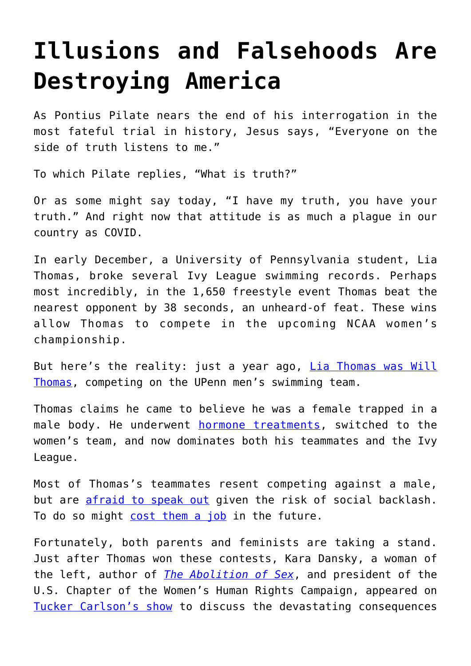## **[Illusions and Falsehoods Are](https://intellectualtakeout.org/2021/12/illusions-and-falsehoods-are-destroying-america/) [Destroying America](https://intellectualtakeout.org/2021/12/illusions-and-falsehoods-are-destroying-america/)**

As Pontius Pilate nears the end of his interrogation in the most fateful trial in history, Jesus says, "Everyone on the side of truth listens to me."

To which Pilate replies, "What is truth?"

Or as some might say today, "I have my truth, you have your truth." And right now that attitude is as much a plague in our country as COVID.

In early December, a University of Pennsylvania student, Lia Thomas, broke several Ivy League swimming records. Perhaps most incredibly, in the 1,650 freestyle event Thomas beat the nearest opponent by 38 seconds, an unheard-of feat. These wins allow Thomas to compete in the upcoming NCAA women's championship.

But here's the reality: just a year ago, [Lia Thomas was Will](https://www.dailymail.co.uk/news/article-10282301/Transgender-UPenn-swimmer-Lia-Thomas-smashes-records-weekend-meets-14-SECONDS-ahead-rival.html) [Thomas](https://www.dailymail.co.uk/news/article-10282301/Transgender-UPenn-swimmer-Lia-Thomas-smashes-records-weekend-meets-14-SECONDS-ahead-rival.html), competing on the UPenn men's swimming team.

Thomas claims he came to believe he was a female trapped in a male body. He underwent [hormone treatments](https://www.dailymail.co.uk/news/article-10292815/UPenn-female-swimmer-speaks-trans-swimmer-Lia-Thomas-continues-smash-records.html), switched to the women's team, and now dominates both his teammates and the Ivy League.

Most of Thomas's teammates resent competing against a male, but are [afraid to speak out](https://www.thecollegefix.com/female-upenn-swimmers-demoralized-no-matter-how-much-work-they-put-in-it-theyre-going-to-lose/) given the risk of social backlash. To do so might [cost them a job](https://www.outkick.com/outkick-exclusive-penn-trans-swimmers-teammate-speaks-out-as-lia-thomas-smashes-more-records/) in the future.

Fortunately, both parents and feminists are taking a stand. Just after Thomas won these contests, Kara Dansky, a woman of the left, author of *[The Abolition of Sex](https://www.amazon.com/gp/product/1637582293/ref=as_li_qf_asin_il_tl?ie=UTF8&tag=intelltakeo0d-20&creative=9325&linkCode=as2&creativeASIN=1637582293&linkId=44d4358bf571088804bd814de486e937)*, and president of the U.S. Chapter of the Women's Human Rights Campaign, appeared on [Tucker Carlson's show](https://www.youtube.com/watch?v=r1QmLFtUemg) to discuss the devastating consequences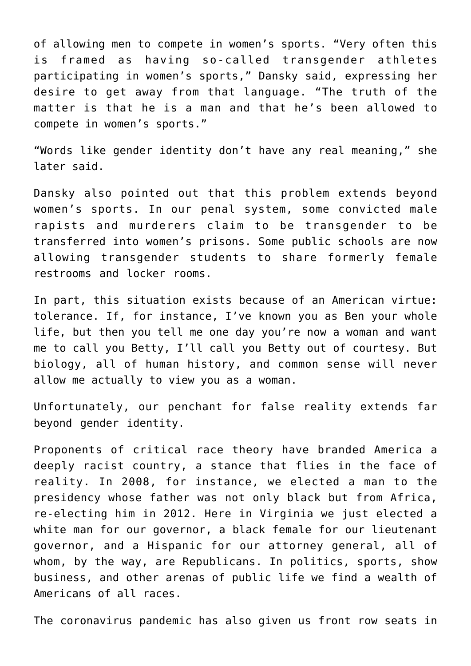of allowing men to compete in women's sports. "Very often this is framed as having so-called transgender athletes participating in women's sports," Dansky said, expressing her desire to get away from that language. "The truth of the matter is that he is a man and that he's been allowed to compete in women's sports."

"Words like gender identity don't have any real meaning," she later said.

Dansky also pointed out that this problem extends beyond women's sports. In our penal system, some convicted male rapists and murderers claim to be transgender to be transferred into women's prisons. Some public schools are now allowing transgender students to share formerly female restrooms and locker rooms.

In part, this situation exists because of an American virtue: tolerance. If, for instance, I've known you as Ben your whole life, but then you tell me one day you're now a woman and want me to call you Betty, I'll call you Betty out of courtesy. But biology, all of human history, and common sense will never allow me actually to view you as a woman.

Unfortunately, our penchant for false reality extends far beyond gender identity.

Proponents of critical race theory have branded America a deeply racist country, a stance that flies in the face of reality. In 2008, for instance, we elected a man to the presidency whose father was not only black but from Africa, re-electing him in 2012. Here in Virginia we just elected a white man for our governor, a black female for our lieutenant governor, and a Hispanic for our attorney general, all of whom, by the way, are Republicans. In politics, sports, show business, and other arenas of public life we find a wealth of Americans of all races.

The coronavirus pandemic has also given us front row seats in